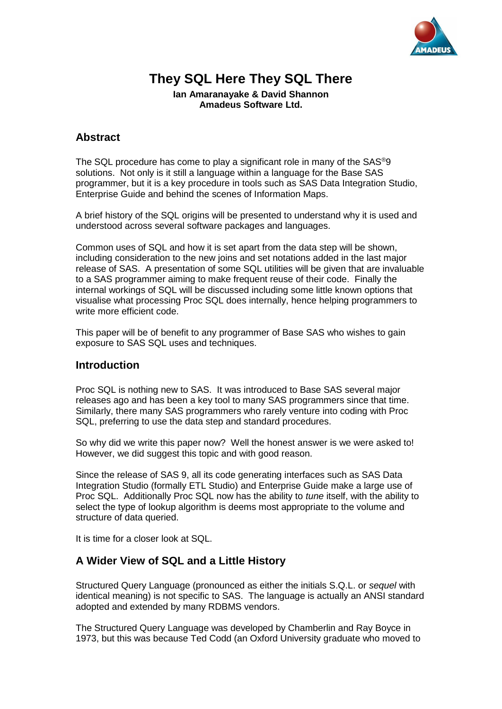

# **They SQL Here They SQL There**

**Ian Amaranayake & David Shannon Amadeus Software Ltd.**

### **Abstract**

The SQL procedure has come to play a significant role in many of the SAS®9 solutions. Not only is it still a language within a language for the Base SAS programmer, but it is a key procedure in tools such as SAS Data Integration Studio, Enterprise Guide and behind the scenes of Information Maps.

A brief history of the SQL origins will be presented to understand why it is used and understood across several software packages and languages.

Common uses of SQL and how it is set apart from the data step will be shown, including consideration to the new joins and set notations added in the last major release of SAS. A presentation of some SQL utilities will be given that are invaluable to a SAS programmer aiming to make frequent reuse of their code. Finally the internal workings of SQL will be discussed including some little known options that visualise what processing Proc SQL does internally, hence helping programmers to write more efficient code.

This paper will be of benefit to any programmer of Base SAS who wishes to gain exposure to SAS SQL uses and techniques.

#### **Introduction**

Proc SQL is nothing new to SAS. It was introduced to Base SAS several major releases ago and has been a key tool to many SAS programmers since that time. Similarly, there many SAS programmers who rarely venture into coding with Proc SQL, preferring to use the data step and standard procedures.

So why did we write this paper now? Well the honest answer is we were asked to! However, we did suggest this topic and with good reason.

Since the release of SAS 9, all its code generating interfaces such as SAS Data Integration Studio (formally ETL Studio) and Enterprise Guide make a large use of Proc SQL. Additionally Proc SQL now has the ability to *tune* itself, with the ability to select the type of lookup algorithm is deems most appropriate to the volume and structure of data queried.

It is time for a closer look at SQL.

### **A Wider View of SQL and a Little History**

Structured Query Language (pronounced as either the initials S.Q.L. or *sequel* with identical meaning) is not specific to SAS. The language is actually an ANSI standard adopted and extended by many RDBMS vendors.

The Structured Query Language was developed by Chamberlin and Ray Boyce in 1973, but this was because Ted Codd (an Oxford University graduate who moved to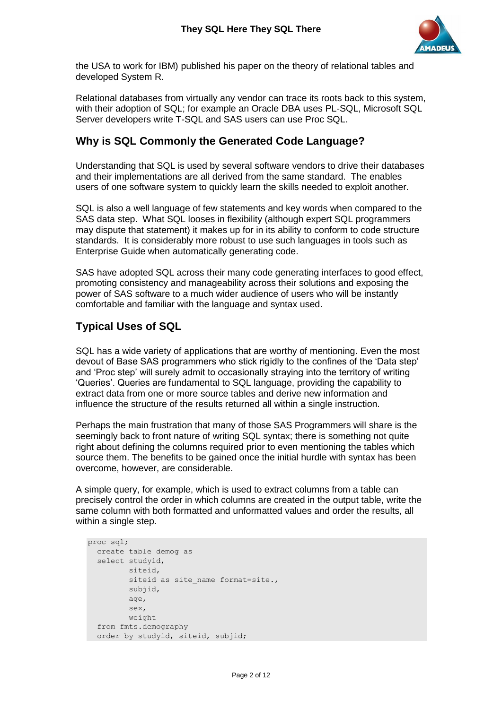

the USA to work for IBM) published his paper on the theory of relational tables and developed System R.

Relational databases from virtually any vendor can trace its roots back to this system, with their adoption of SQL; for example an Oracle DBA uses PL-SQL, Microsoft SQL Server developers write T-SQL and SAS users can use Proc SQL.

#### **Why is SQL Commonly the Generated Code Language?**

Understanding that SQL is used by several software vendors to drive their databases and their implementations are all derived from the same standard. The enables users of one software system to quickly learn the skills needed to exploit another.

SQL is also a well language of few statements and key words when compared to the SAS data step. What SQL looses in flexibility (although expert SQL programmers may dispute that statement) it makes up for in its ability to conform to code structure standards. It is considerably more robust to use such languages in tools such as Enterprise Guide when automatically generating code.

SAS have adopted SQL across their many code generating interfaces to good effect, promoting consistency and manageability across their solutions and exposing the power of SAS software to a much wider audience of users who will be instantly comfortable and familiar with the language and syntax used.

### **Typical Uses of SQL**

SQL has a wide variety of applications that are worthy of mentioning. Even the most devout of Base SAS programmers who stick rigidly to the confines of the 'Data step' and 'Proc step' will surely admit to occasionally straying into the territory of writing 'Queries'. Queries are fundamental to SQL language, providing the capability to extract data from one or more source tables and derive new information and influence the structure of the results returned all within a single instruction.

Perhaps the main frustration that many of those SAS Programmers will share is the seemingly back to front nature of writing SQL syntax; there is something not quite right about defining the columns required prior to even mentioning the tables which source them. The benefits to be gained once the initial hurdle with syntax has been overcome, however, are considerable.

A simple query, for example, which is used to extract columns from a table can precisely control the order in which columns are created in the output table, write the same column with both formatted and unformatted values and order the results, all within a single step.

```
proc sql;
  create table demog as
   select studyid,
          siteid,
         siteid as site name format=site.,
          subjid,
          age,
          sex,
          weight
   from fmts.demography
   order by studyid, siteid, subjid;
```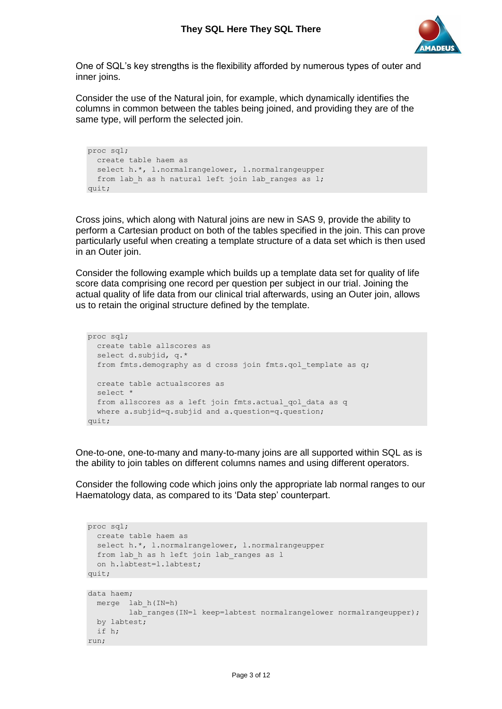

One of SQL's key strengths is the flexibility afforded by numerous types of outer and inner joins.

Consider the use of the Natural join, for example, which dynamically identifies the columns in common between the tables being joined, and providing they are of the same type, will perform the selected join.

```
proc sql;
  create table haem as
 select h.*, l.normalrangelower, l.normalrangeupper
 from lab h as h natural left join lab ranges as l;
quit;
```
Cross joins, which along with Natural joins are new in SAS 9, provide the ability to perform a Cartesian product on both of the tables specified in the join. This can prove particularly useful when creating a template structure of a data set which is then used in an Outer join.

Consider the following example which builds up a template data set for quality of life score data comprising one record per question per subject in our trial. Joining the actual quality of life data from our clinical trial afterwards, using an Outer join, allows us to retain the original structure defined by the template.

```
proc sql;
  create table allscores as
   select d.subjid, q.*
 from fmts.demography as d cross join fmts.qol template as q;
  create table actualscores as
   select *
 from allscores as a left join fmts.actual qol data as q
  where a.subjid=q.subjid and a.question=q.question;
quit;
```
One-to-one, one-to-many and many-to-many joins are all supported within SQL as is the ability to join tables on different columns names and using different operators.

Consider the following code which joins only the appropriate lab normal ranges to our Haematology data, as compared to its 'Data step' counterpart.

```
proc sql;
  create table haem as
 select h.*, l.normalrangelower, l.normalrangeupper
 from lab h as h left join lab ranges as l
  on h.labtest=l.labtest;
quit;
data haem;
```

```
 merge lab_h(IN=h) 
        lab ranges(IN=l keep=labtest normalrangelower normalrangeupper);
  by labtest;
  if h;
run;
```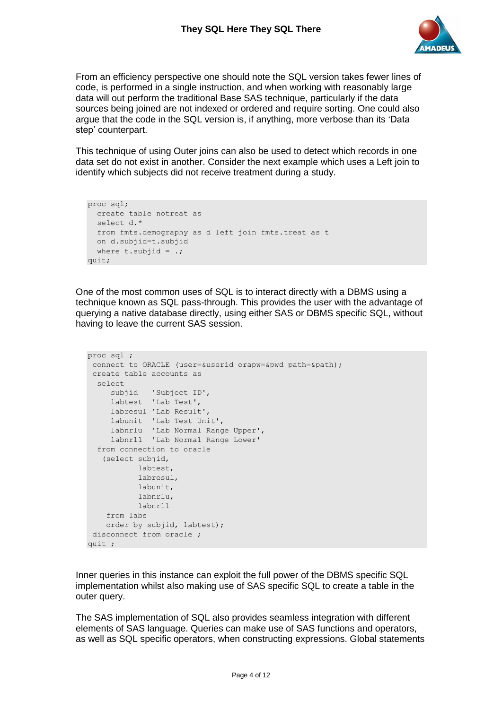

From an efficiency perspective one should note the SQL version takes fewer lines of code, is performed in a single instruction, and when working with reasonably large data will out perform the traditional Base SAS technique, particularly if the data sources being joined are not indexed or ordered and require sorting. One could also argue that the code in the SQL version is, if anything, more verbose than its 'Data step' counterpart.

This technique of using Outer joins can also be used to detect which records in one data set do not exist in another. Consider the next example which uses a Left join to identify which subjects did not receive treatment during a study.

```
proc sql;
  create table notreat as
  select d.*
  from fmts.demography as d left join fmts.treat as t
  on d.subjid=t.subjid
 where t.subjid = .;quit;
```
One of the most common uses of SQL is to interact directly with a DBMS using a technique known as SQL pass-through. This provides the user with the advantage of querying a native database directly, using either SAS or DBMS specific SQL, without having to leave the current SAS session.

```
proc sql ;
 connect to ORACLE (user=&userid orapw=&pwd path=&path);
 create table accounts as
  select
     subjid 'Subject ID',
     labtest 'Lab Test',
     labresul 'Lab Result',
     labunit 'Lab Test Unit',
 labnrlu 'Lab Normal Range Upper',
 labnrll 'Lab Normal Range Lower'
   from connection to oracle
    (select subjid,
            labtest,
            labresul,
            labunit,
            labnrlu,
            labnrll
     from labs
    order by subjid, labtest);
 disconnect from oracle ;
quit ;
```
Inner queries in this instance can exploit the full power of the DBMS specific SQL implementation whilst also making use of SAS specific SQL to create a table in the outer query.

The SAS implementation of SQL also provides seamless integration with different elements of SAS language. Queries can make use of SAS functions and operators, as well as SQL specific operators, when constructing expressions. Global statements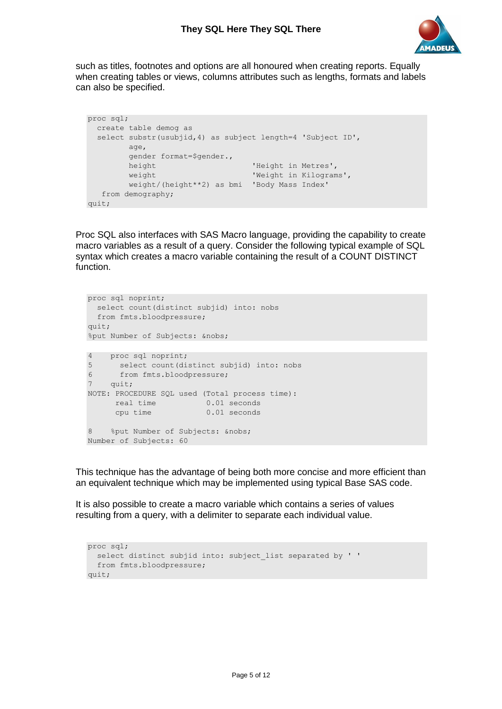

such as titles, footnotes and options are all honoured when creating reports. Equally when creating tables or views, columns attributes such as lengths, formats and labels can also be specified.

```
proc sql;
  create table demog as
  select substr(usubjid,4) as subject length=4 'Subject ID', 
        age, 
        gender format=$gender., 
       height ' Height in Metres',
       weight ' Weight in Kilograms',
        weight/(height**2) as bmi 'Body Mass Index'
   from demography;
quit;
```
Proc SQL also interfaces with SAS Macro language, providing the capability to create macro variables as a result of a query. Consider the following typical example of SQL syntax which creates a macro variable containing the result of a COUNT DISTINCT function.

```
proc sql noprint;
  select count(distinct subjid) into: nobs
  from fmts.bloodpressure;
quit;
%put Number of Subjects: &nobs;
4 proc sql noprint;
5 select count(distinct subjid) into: nobs<br>6 from fmts.bloodpressure;
     from fmts.bloodpressure;
7 quit;
NOTE: PROCEDURE SQL used (Total process time):
real time 0.01 seconds
 cpu time 0.01 seconds
8 % % %put Number of Subjects: &nobs;
Number of Subjects: 60
```
This technique has the advantage of being both more concise and more efficient than an equivalent technique which may be implemented using typical Base SAS code.

It is also possible to create a macro variable which contains a series of values resulting from a query, with a delimiter to separate each individual value.

```
proc sql;
 select distinct subjid into: subject list separated by ' '
  from fmts.bloodpressure;
quit;
```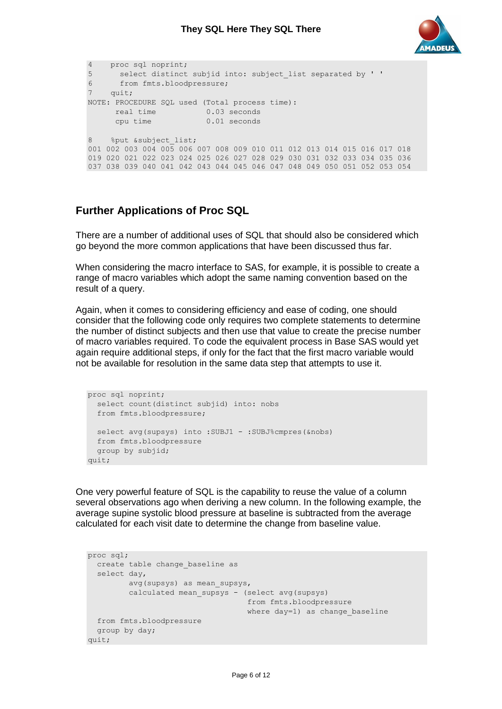

```
4 proc sql noprint;
5 select distinct subjid into: subject_list separated by ' '
6 from fmts.bloodpressure;
7 quit;
NOTE: PROCEDURE SQL used (Total process time):
real time 0.03 seconds
 cpu time 0.01 seconds
8 % put & subject list;
001 002 003 004 005 006 007 008 009 010 011 012 013 014 015 016 017 018 
019 020 021 022 023 024 025 026 027 028 029 030 031 032 033 034 035 036 
037 038 039 040 041 042 043 044 045 046 047 048 049 050 051 052 053 054
```
## **Further Applications of Proc SQL**

There are a number of additional uses of SQL that should also be considered which go beyond the more common applications that have been discussed thus far.

When considering the macro interface to SAS, for example, it is possible to create a range of macro variables which adopt the same naming convention based on the result of a query.

Again, when it comes to considering efficiency and ease of coding, one should consider that the following code only requires two complete statements to determine the number of distinct subjects and then use that value to create the precise number of macro variables required. To code the equivalent process in Base SAS would yet again require additional steps, if only for the fact that the first macro variable would not be available for resolution in the same data step that attempts to use it.

```
proc sql noprint;
  select count(distinct subjid) into: nobs
  from fmts.bloodpressure;
 select avg(supsys) into : SUBJ1 - : SUBJ% cmpres(&nobs)
  from fmts.bloodpressure
  group by subjid;
quit;
```
One very powerful feature of SQL is the capability to reuse the value of a column several observations ago when deriving a new column. In the following example, the average supine systolic blood pressure at baseline is subtracted from the average calculated for each visit date to determine the change from baseline value.

```
proc sql;
 create table change baseline as
  select day,
        avg(supsys) as mean supsys,
        calculated mean supsys - (select avg(supsys)
                                   from fmts.bloodpressure
                                  where day=1) as change baseline
  from fmts.bloodpressure
  group by day;
quit;
```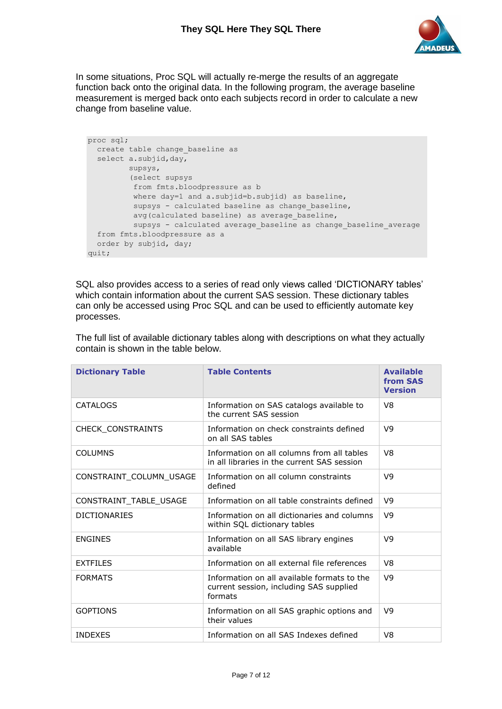

In some situations, Proc SQL will actually re-merge the results of an aggregate function back onto the original data. In the following program, the average baseline measurement is merged back onto each subjects record in order to calculate a new change from baseline value.

```
proc sql;
  create table change_baseline as
 select a.subjid, day,
         supsys,
         (select supsys
          from fmts.bloodpressure as b
         where day=1 and a.subjid=b.subjid) as baseline,
         supsys - calculated baseline as change baseline,
         avg(calculated baseline) as average baseline,
         supsys - calculated average baseline as change baseline average
  from fmts.bloodpressure as a
  order by subjid, day;
quit;
```
SQL also provides access to a series of read only views called 'DICTIONARY tables' which contain information about the current SAS session. These dictionary tables can only be accessed using Proc SQL and can be used to efficiently automate key processes.

| <b>Dictionary Table</b> | <b>Table Contents</b>                                                                             | <b>Available</b><br>from SAS<br><b>Version</b> |
|-------------------------|---------------------------------------------------------------------------------------------------|------------------------------------------------|
| <b>CATALOGS</b>         | Information on SAS catalogs available to<br>the current SAS session                               | V <sub>8</sub>                                 |
| CHECK_CONSTRAINTS       | Information on check constraints defined<br>on all SAS tables                                     | V9                                             |
| <b>COLUMNS</b>          | Information on all columns from all tables<br>in all libraries in the current SAS session         | V <sub>8</sub>                                 |
| CONSTRAINT_COLUMN_USAGE | Information on all column constraints<br>defined                                                  | V9                                             |
| CONSTRAINT_TABLE_USAGE  | Information on all table constraints defined                                                      | V <sub>9</sub>                                 |
| <b>DICTIONARIES</b>     | Information on all dictionaries and columns<br>within SQL dictionary tables                       | V <sub>9</sub>                                 |
| <b>ENGINES</b>          | Information on all SAS library engines<br>available                                               | V <sub>9</sub>                                 |
| <b>EXTFILES</b>         | Information on all external file references                                                       | V <sub>8</sub>                                 |
| <b>FORMATS</b>          | Information on all available formats to the<br>current session, including SAS supplied<br>formats | V <sub>9</sub>                                 |
| <b>GOPTIONS</b>         | Information on all SAS graphic options and<br>their values                                        | V <sub>9</sub>                                 |
| <b>INDEXES</b>          | Information on all SAS Indexes defined                                                            | V8                                             |

The full list of available dictionary tables along with descriptions on what they actually contain is shown in the table below.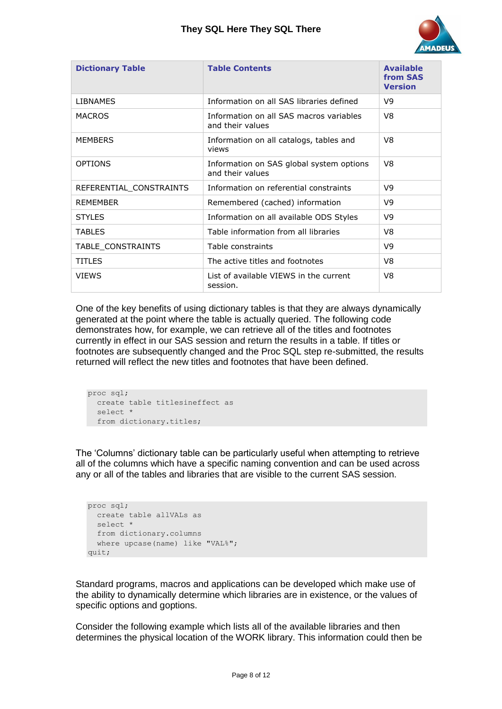

| <b>Dictionary Table</b> | <b>Table Contents</b>                                        | <b>Available</b><br>from SAS<br><b>Version</b> |
|-------------------------|--------------------------------------------------------------|------------------------------------------------|
| <b>LIBNAMES</b>         | Information on all SAS libraries defined                     | V9                                             |
| <b>MACROS</b>           | Information on all SAS macros variables<br>and their values  | V8                                             |
| <b>MEMBERS</b>          | Information on all catalogs, tables and<br>views             | V8                                             |
| <b>OPTIONS</b>          | Information on SAS global system options<br>and their values | V8                                             |
| REFERENTIAL_CONSTRAINTS | Information on referential constraints                       | V9                                             |
| <b>REMEMBER</b>         | Remembered (cached) information                              | V9                                             |
| <b>STYLES</b>           | Information on all available ODS Styles                      | V9                                             |
| <b>TABLES</b>           | Table information from all libraries                         | V8                                             |
| TABLE CONSTRAINTS       | Table constraints                                            | V9                                             |
| <b>TITLES</b>           | The active titles and footnotes                              | V8                                             |
| <b>VIEWS</b>            | List of available VIEWS in the current<br>session.           | V8                                             |

One of the key benefits of using dictionary tables is that they are always dynamically generated at the point where the table is actually queried. The following code demonstrates how, for example, we can retrieve all of the titles and footnotes currently in effect in our SAS session and return the results in a table. If titles or footnotes are subsequently changed and the Proc SQL step re-submitted, the results returned will reflect the new titles and footnotes that have been defined.

```
proc sql;
  create table titlesineffect as
   select * 
  from dictionary.titles;
```
The 'Columns' dictionary table can be particularly useful when attempting to retrieve all of the columns which have a specific naming convention and can be used across any or all of the tables and libraries that are visible to the current SAS session.

```
proc sql;
  create table allVALs as
   select *
   from dictionary.columns
  where upcase(name) like "VAL%";
quit;
```
Standard programs, macros and applications can be developed which make use of the ability to dynamically determine which libraries are in existence, or the values of specific options and goptions.

Consider the following example which lists all of the available libraries and then determines the physical location of the WORK library. This information could then be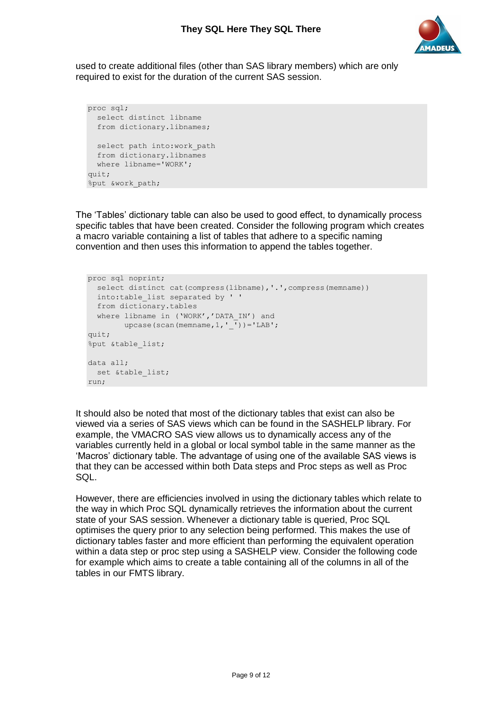

used to create additional files (other than SAS library members) which are only required to exist for the duration of the current SAS session.

```
proc sql;
  select distinct libname
   from dictionary.libnames;
 select path into:work path
  from dictionary.libnames
  where libname='WORK';
quit;
%put &work_path;
```
The 'Tables' dictionary table can also be used to good effect, to dynamically process specific tables that have been created. Consider the following program which creates a macro variable containing a list of tables that adhere to a specific naming convention and then uses this information to append the tables together.

```
proc sql noprint;
 select distinct cat(compress(libname), '.', compress(memname))
   into:table_list separated by ' '
  from dictionary.tables
  where libname in ('WORK','DATA_IN') and 
       upcase(scan(memname, 1, ''))='LAB';
quit;
%put &table_list;
data all;
 set &table list;
run;
```
It should also be noted that most of the dictionary tables that exist can also be viewed via a series of SAS views which can be found in the SASHELP library. For example, the VMACRO SAS view allows us to dynamically access any of the variables currently held in a global or local symbol table in the same manner as the 'Macros' dictionary table. The advantage of using one of the available SAS views is that they can be accessed within both Data steps and Proc steps as well as Proc SQL.

However, there are efficiencies involved in using the dictionary tables which relate to the way in which Proc SQL dynamically retrieves the information about the current state of your SAS session. Whenever a dictionary table is queried, Proc SQL optimises the query prior to any selection being performed. This makes the use of dictionary tables faster and more efficient than performing the equivalent operation within a data step or proc step using a SASHELP view. Consider the following code for example which aims to create a table containing all of the columns in all of the tables in our FMTS library.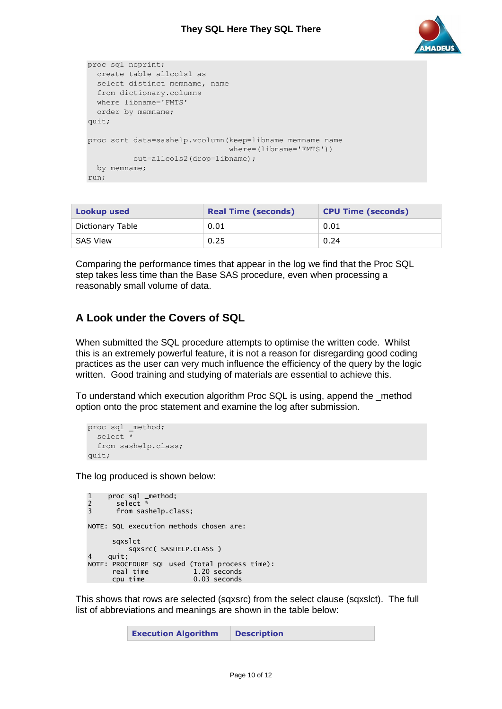

```
proc sql noprint;
  create table allcols1 as
  select distinct memname, name
  from dictionary.columns
  where libname='FMTS'
  order by memname;
quit;
proc sort data=sashelp.vcolumn(keep=libname memname name 
                                where=(libname='FMTS')) 
          out=allcols2(drop=libname);
 by memname;
run;
```

| <b>Lookup used</b> | <b>Real Time (seconds)</b> | <b>CPU Time (seconds)</b> |
|--------------------|----------------------------|---------------------------|
| Dictionary Table   | 0.01                       | 0.01                      |
| SAS View           | 0.25                       | 0.24                      |

Comparing the performance times that appear in the log we find that the Proc SQL step takes less time than the Base SAS procedure, even when processing a reasonably small volume of data.

## **A Look under the Covers of SQL**

When submitted the SQL procedure attempts to optimise the written code. Whilst this is an extremely powerful feature, it is not a reason for disregarding good coding practices as the user can very much influence the efficiency of the query by the logic written. Good training and studying of materials are essential to achieve this.

To understand which execution algorithm Proc SQL is using, append the \_method option onto the proc statement and examine the log after submission.

```
proc sql method;
  select * 
  from sashelp.class;
quit;
```
The log produced is shown below:

```
1 proc sql _method;<br>2 select *
2 select *<br>3 from sas
      from sashelp.class;
NOTE: SQL execution methods chosen are:
      sqxslct
sqxsrc( SASHELP.CLASS )
   quit:
NOTE: PROCEDURE SQL used (Total process time):
 real time 1.20 seconds
 cpu time 0.03 seconds
```
This shows that rows are selected (sqxsrc) from the select clause (sqxslct). The full list of abbreviations and meanings are shown in the table below: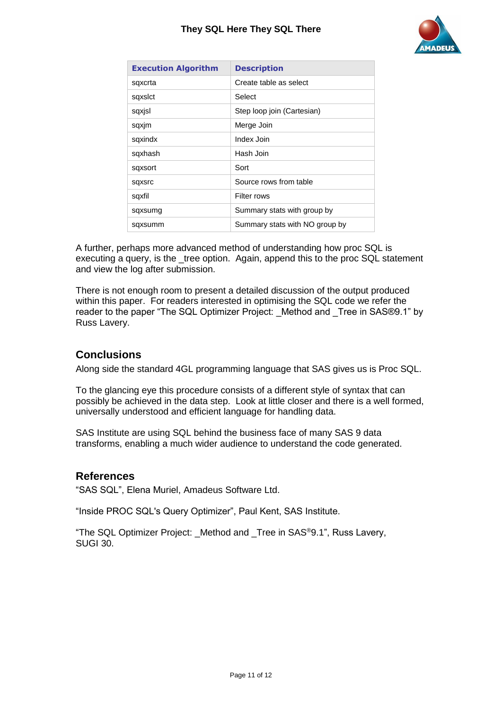#### **They SQL Here They SQL There**



| <b>Execution Algorithm</b> | <b>Description</b>             |
|----------------------------|--------------------------------|
| sqxcrta                    | Create table as select         |
| sqxslct                    | Select                         |
| sqxisl                     | Step loop join (Cartesian)     |
| sqxjm                      | Merge Join                     |
| sqxindx                    | Index Join                     |
| sqxhash                    | Hash Join                      |
| sqxsort                    | Sort                           |
| sqxsrc                     | Source rows from table         |
| sqxfil                     | Filter rows                    |
| sqxsumg                    | Summary stats with group by    |
| sqxsumm                    | Summary stats with NO group by |

A further, perhaps more advanced method of understanding how proc SQL is executing a query, is the \_tree option. Again, append this to the proc SQL statement and view the log after submission.

There is not enough room to present a detailed discussion of the output produced within this paper. For readers interested in optimising the SQL code we refer the reader to the paper "The SQL Optimizer Project: Method and Tree in SAS®9.1" by Russ Lavery.

### **Conclusions**

Along side the standard 4GL programming language that SAS gives us is Proc SQL.

To the glancing eye this procedure consists of a different style of syntax that can possibly be achieved in the data step. Look at little closer and there is a well formed, universally understood and efficient language for handling data.

SAS Institute are using SQL behind the business face of many SAS 9 data transforms, enabling a much wider audience to understand the code generated.

#### **References**

"SAS SQL", Elena Muriel, Amadeus Software Ltd.

"Inside PROC SQL's Query Optimizer", Paul Kent, SAS Institute.

"The SQL Optimizer Project: \_Method and \_Tree in SAS®9.1", Russ Lavery, SUGI 30.